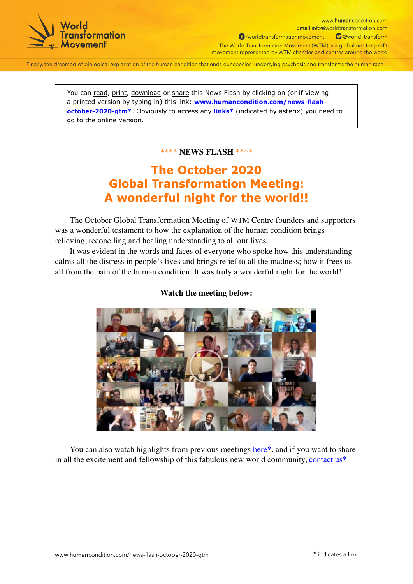

www.humancondition.com Email info@worldtransformation.com f /worldtransformationmovement O @world\_transform The World Transformation Movement (WTM) is a global not-for-profit movement represented by WTM charities and centres around the world

Finally, the dreamed-of biological explanation of the human condition that ends our species' underlying psychosis and transforms the human race.

You can read, print, download or share this News Flash by clicking on (or if viewing a printed version by typing in) this link: **[www.humancondition.com/news-flash](https://www.humancondition.com/news-flash-october-2020-gtm/?utm_source=wtm-pdf-ebook&utm_campaign=pdf_email-click_news-flash-october-2020-gtm&utm_medium=pdf&utm_term=V201026&utm_content=link-to_/news-flash-october-2020-gtm/)[october-2020-gtm](https://www.humancondition.com/news-flash-october-2020-gtm/?utm_source=wtm-pdf-ebook&utm_campaign=pdf_email-click_news-flash-october-2020-gtm&utm_medium=pdf&utm_term=V201026&utm_content=link-to_/news-flash-october-2020-gtm/)\***. Obviously to access any **links\*** (indicated by asterix) you need to go to the online version.

## **\*\*\*\* NEWS FLASH \*\*\*\***

## **The October 2020 Global Transformation Meeting: A wonderful night for the world!!**

The October Global Transformation Meeting of WTM Centre founders and supporters was a wonderful testament to how the explanation of the human condition brings relieving, reconciling and healing understanding to all our lives.

It was evident in the words and faces of everyone who spoke how this understanding calms all the distress in people's lives and brings relief to all the madness; how it frees us all from the pain of the human condition. It was truly a wonderful night for the world!!



## **Watch the meeting below:**

You can also watch highlights from previous meetings [here](https://www.humancondition.com/transformation/?utm_source=wtm-pdf-ebook&utm_campaign=pdf_email-click_news-flash-october-2020-gtm&utm_medium=pdf&utm_term=V201026&utm_content=link-to_/transformation/#participate-with-wtm-activities)**\***, and if you want to share in all the excitement and fellowship of this fabulous new world community, [contact us](https://www.humancondition.com/contact/?utm_source=wtm-pdf-ebook&utm_campaign=pdf_email-click_news-flash-october-2020-gtm&utm_medium=pdf&utm_term=V201026&utm_content=link-to_/contact/)**\***.